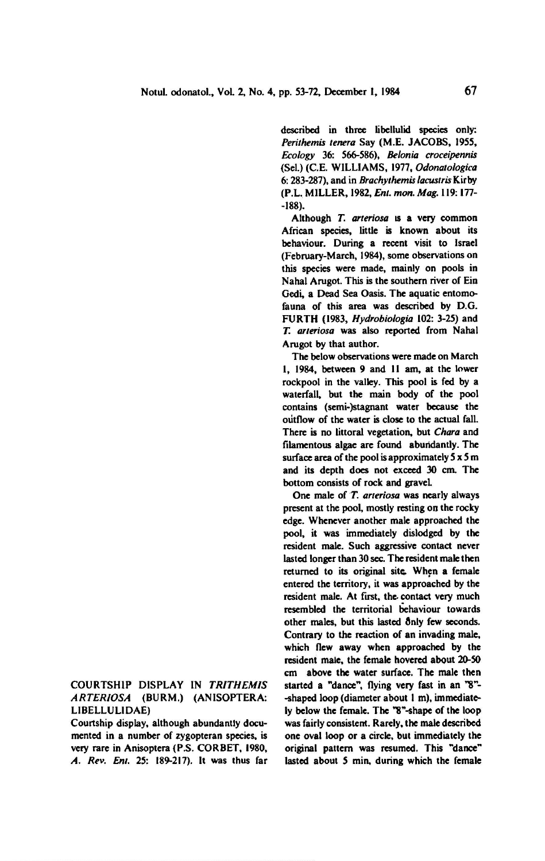described in three libellulid species only; Perithemis tenera Say (M.E. JACOBS, 1955, Ecology 36; 566-586), Belonia croceipennis (Sel.) (C.E. WILLIAMS, 1977, Odonatologica 6: 283-287), and in Brachythemis lacustris Kirby (P.L. MILLER, 1982, Ent. mon. Mag. 119: 177--188).

Although T. arteriosa is a very common African species, little is known about its behaviour. During a recent visit to Israel (February-March, 1984), some observations on this species were made, mainly on pools in Nahal Arugot. This is the southern river of Ein Cedi, a Dead Sea Oasis. The aquatic entomofauna of this area was described by D.G. FURTH (1983, Hydrobiologia 102: 3-25) and T. arteriosa was also reported from Nahal Arugot by that author.

The below observations were made on March 1, 1984, between <sup>9</sup> and II am, at the lower rockpool in the valley. This pool is fed by <sup>a</sup> waterfall, but the main body of the pool contains (semi-)stagnant water because the outflow of the water is close to the actual fall. There is no littoral vegetation, but Chara and filamentous algae are found abundantly. The surface area of the pool is approximately  $5 \times 5$  m and its depth does not exceed 30 cm. The bottom consists of rock and gravel.

One male of T. arteriosa was nearly always present at the pool, mostly resting on the rocky edge. Whenever another male approached the pool, it was immediately dislodged by the resident male. Such aggressive contact never lasted longer than 30 sec. The resident male then returned to its original site. When a female entered the territory, it was approached by the resident male. At first, the contact very much resembled the territorial behaviour towards other males, but this lasted only few seconds. Contrary to the reaction of an invading male, which flew away when approached by the resident male, the female hovered about 20-50 cm above the water surface. The male then started a "dance", flying very fast in an "8"- -shaped loop (diameter about <sup>I</sup> m), immediately below the female. The "8"-shape of the loop was fairly consistent. Rarely, the male described one oval loop or <sup>a</sup> circle, but immediately the original pattern was resumed. This "dance" lasted about <sup>5</sup> min, during which the female

Courtship display in Trithemis arteriosa (Burm.) (Anisoptera: Libellulidae)

Courtship display, although abundantly documented in <sup>a</sup> number of zygopteran species, is very rare in Anisoptera (P.S. CORBET, 1980, A. Rev. Enl. 25: 189-217). It was thus far